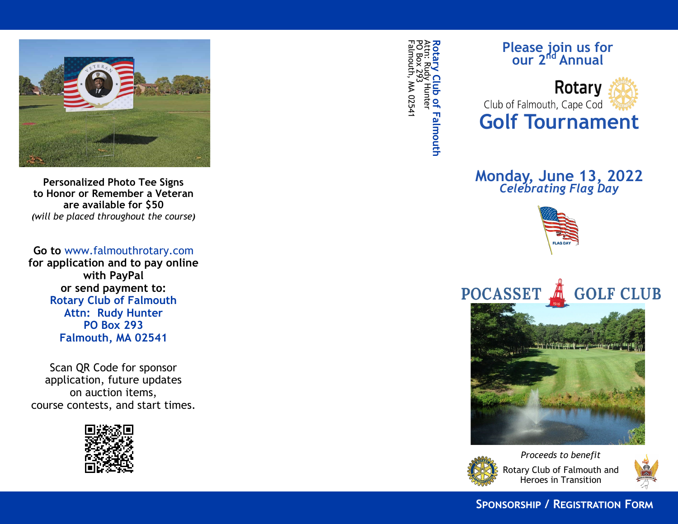

**Personalized Photo Tee Signs to Honor or Remember a Veteran are available for \$50** *(will be placed throughout the course )*

**Go to** www.falmouthrotary.com **for application and to pay online with PayPal or send payment to: Rotary Club of Falmouth Attn: Rudy Hunter PO Box 293 Falmouth, MA 02541**

Scan QR Code for sponsor application, future updates on auction items, course contests, and start times.



Falmouth, MA 02541 N 02541 PO Box 293 Attn: Rudy Hunter **Rotary Club of Falmouth**

## **Please join us for our 2nd Annual**



## **Monday, June 13, 2022** *Celebrating Flag Day*







Rotary Club of Falmouth and Heroes in Transition